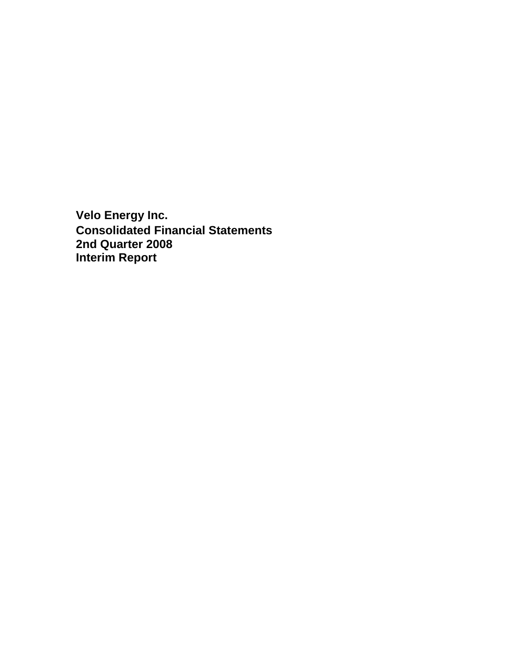**Velo Energy Inc. Consolidated Financial Statements 2nd Quarter 2008 Interim Report**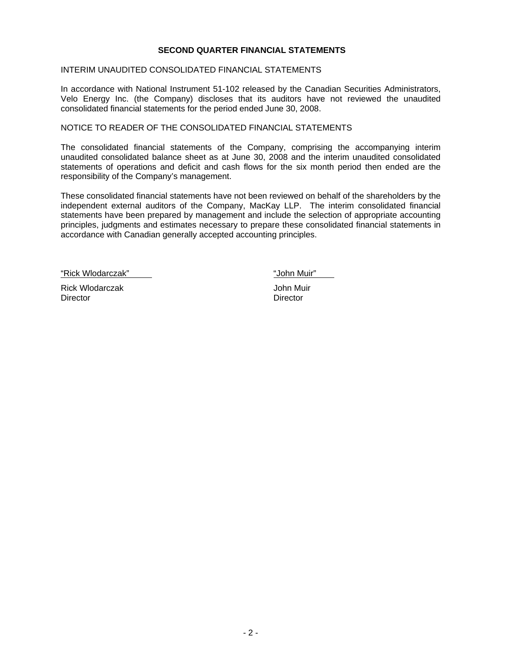#### **SECOND QUARTER FINANCIAL STATEMENTS**

#### INTERIM UNAUDITED CONSOLIDATED FINANCIAL STATEMENTS

In accordance with National Instrument 51-102 released by the Canadian Securities Administrators, Velo Energy Inc. (the Company) discloses that its auditors have not reviewed the unaudited consolidated financial statements for the period ended June 30, 2008.

#### NOTICE TO READER OF THE CONSOLIDATED FINANCIAL STATEMENTS

The consolidated financial statements of the Company, comprising the accompanying interim unaudited consolidated balance sheet as at June 30, 2008 and the interim unaudited consolidated statements of operations and deficit and cash flows for the six month period then ended are the responsibility of the Company's management.

These consolidated financial statements have not been reviewed on behalf of the shareholders by the independent external auditors of the Company, MacKay LLP. The interim consolidated financial statements have been prepared by management and include the selection of appropriate accounting principles, judgments and estimates necessary to prepare these consolidated financial statements in accordance with Canadian generally accepted accounting principles.

"Rick Wlodarczak" "John Muir"

Rick Wlodarczak John Muir Director **Director** Director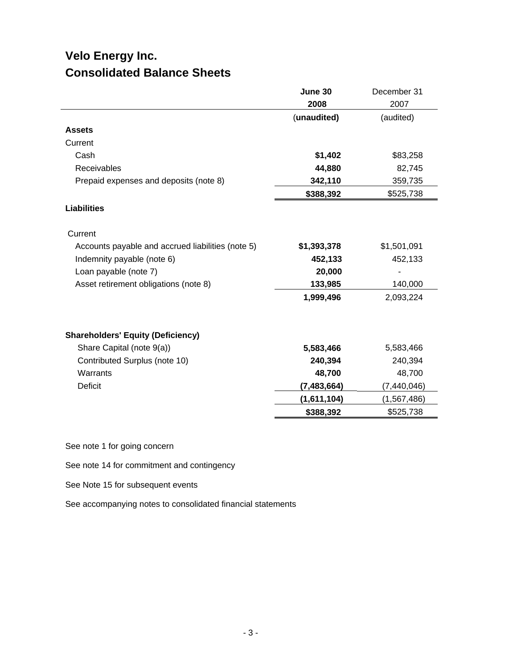# **Velo Energy Inc. Consolidated Balance Sheets**

|                                                   | June 30       | December 31   |
|---------------------------------------------------|---------------|---------------|
|                                                   | 2008          | 2007          |
|                                                   | (unaudited)   | (audited)     |
| <b>Assets</b>                                     |               |               |
| Current                                           |               |               |
| Cash                                              | \$1,402       | \$83,258      |
| Receivables                                       | 44,880        | 82,745        |
| Prepaid expenses and deposits (note 8)            | 342,110       | 359,735       |
|                                                   | \$388,392     | \$525,738     |
| <b>Liabilities</b>                                |               |               |
| Current                                           |               |               |
| Accounts payable and accrued liabilities (note 5) | \$1,393,378   | \$1,501,091   |
| Indemnity payable (note 6)                        | 452,133       | 452,133       |
| Loan payable (note 7)                             | 20,000        |               |
| Asset retirement obligations (note 8)             | 133,985       | 140,000       |
|                                                   | 1,999,496     | 2,093,224     |
| <b>Shareholders' Equity (Deficiency)</b>          |               |               |
| Share Capital (note 9(a))                         | 5,583,466     | 5,583,466     |
| Contributed Surplus (note 10)                     | 240,394       | 240,394       |
| Warrants                                          | 48,700        | 48,700        |
| <b>Deficit</b>                                    | (7, 483, 664) | (7, 440, 046) |
|                                                   | (1,611,104)   | (1, 567, 486) |
|                                                   | \$388,392     | \$525,738     |

See note 1 for going concern

See note 14 for commitment and contingency

See Note 15 for subsequent events

See accompanying notes to consolidated financial statements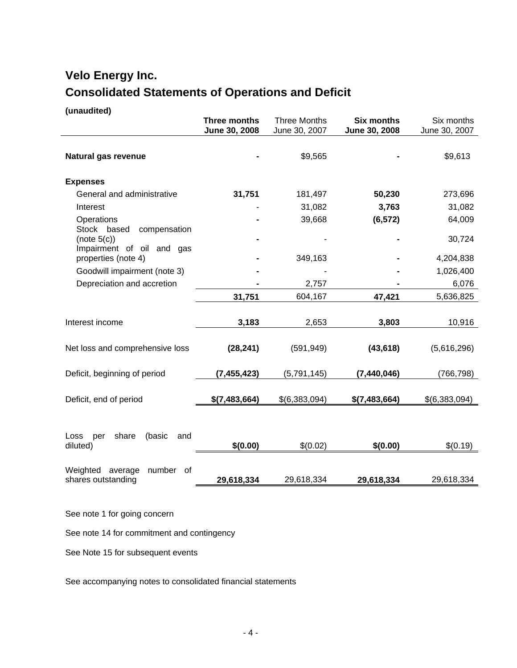# **Velo Energy Inc. Consolidated Statements of Operations and Deficit**

#### **(unaudited)**

|                                                   | <b>Three months</b><br>June 30, 2008 | <b>Three Months</b><br>June 30, 2007 | <b>Six months</b><br>June 30, 2008 | Six months<br>June 30, 2007 |
|---------------------------------------------------|--------------------------------------|--------------------------------------|------------------------------------|-----------------------------|
| Natural gas revenue                               |                                      | \$9,565                              |                                    | \$9,613                     |
| <b>Expenses</b>                                   |                                      |                                      |                                    |                             |
| General and administrative                        | 31,751                               | 181,497                              | 50,230                             | 273,696                     |
| Interest                                          |                                      | 31,082                               | 3,763                              | 31,082                      |
| Operations                                        |                                      | 39,668                               | (6, 572)                           | 64,009                      |
| Stock based<br>compensation<br>(note 5(c))        |                                      |                                      |                                    | 30,724                      |
| Impairment of oil and gas                         |                                      |                                      |                                    |                             |
| properties (note 4)                               |                                      | 349,163                              |                                    | 4,204,838                   |
| Goodwill impairment (note 3)                      |                                      |                                      |                                    | 1,026,400                   |
| Depreciation and accretion                        |                                      | 2,757                                |                                    | 6,076                       |
|                                                   | 31,751                               | 604,167                              | 47,421                             | 5,636,825                   |
|                                                   |                                      |                                      |                                    |                             |
| Interest income                                   | 3,183                                | 2,653                                | 3,803                              | 10,916                      |
|                                                   |                                      |                                      |                                    |                             |
| Net loss and comprehensive loss                   | (28, 241)                            | (591, 949)                           | (43, 618)                          | (5,616,296)                 |
|                                                   |                                      |                                      |                                    |                             |
| Deficit, beginning of period                      | (7, 455, 423)                        | (5,791,145)                          | (7, 440, 046)                      | (766, 798)                  |
|                                                   |                                      |                                      |                                    |                             |
| Deficit, end of period                            | \$(7,483,664)                        | \$(6,383,094)                        | \$(7,483,664)                      | \$(6,383,094)               |
|                                                   |                                      |                                      |                                    |                             |
|                                                   |                                      |                                      |                                    |                             |
| share<br>(basic<br>and<br>Loss<br>per<br>diluted) | \$(0.00)                             | \$(0.02)                             | \$(0.00)                           | \$(0.19)                    |
|                                                   |                                      |                                      |                                    |                             |
| Weighted<br>average<br>number<br>of               |                                      |                                      |                                    |                             |
| shares outstanding                                | 29,618,334                           | 29,618,334                           | 29,618,334                         | 29,618,334                  |

See note 1 for going concern

See note 14 for commitment and contingency

See Note 15 for subsequent events

See accompanying notes to consolidated financial statements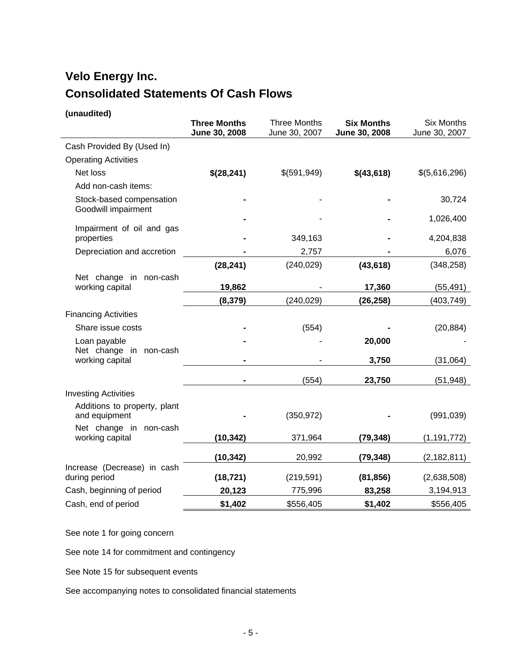# **Velo Energy Inc. Consolidated Statements Of Cash Flows**

# **(unaudited)**

|                                                 | <b>Three Months</b><br>June 30, 2008 | <b>Three Months</b><br>June 30, 2007 | <b>Six Months</b><br>June 30, 2008 | <b>Six Months</b><br>June 30, 2007 |
|-------------------------------------------------|--------------------------------------|--------------------------------------|------------------------------------|------------------------------------|
| Cash Provided By (Used In)                      |                                      |                                      |                                    |                                    |
| <b>Operating Activities</b>                     |                                      |                                      |                                    |                                    |
| Net loss                                        | \$(28,241)                           | \$(591,949)                          | \$(43,618)                         | \$(5,616,296)                      |
| Add non-cash items:                             |                                      |                                      |                                    |                                    |
| Stock-based compensation<br>Goodwill impairment |                                      |                                      |                                    | 30,724                             |
|                                                 |                                      |                                      |                                    | 1,026,400                          |
| Impairment of oil and gas<br>properties         |                                      | 349,163                              |                                    | 4,204,838                          |
| Depreciation and accretion                      |                                      | 2,757                                |                                    | 6,076                              |
|                                                 | (28, 241)                            | (240, 029)                           | (43, 618)                          | (348, 258)                         |
| Net change in non-cash                          |                                      |                                      |                                    |                                    |
| working capital                                 | 19,862                               |                                      | 17,360                             | (55, 491)                          |
|                                                 | (8, 379)                             | (240, 029)                           | (26, 258)                          | (403, 749)                         |
| <b>Financing Activities</b>                     |                                      |                                      |                                    |                                    |
| Share issue costs                               |                                      | (554)                                |                                    | (20, 884)                          |
| Loan payable                                    |                                      |                                      | 20,000                             |                                    |
| Net change in non-cash<br>working capital       |                                      |                                      | 3,750                              | (31,064)                           |
|                                                 |                                      | (554)                                | 23,750                             | (51, 948)                          |
| <b>Investing Activities</b>                     |                                      |                                      |                                    |                                    |
| Additions to property, plant<br>and equipment   |                                      | (350, 972)                           |                                    | (991, 039)                         |
| Net change in non-cash<br>working capital       | (10, 342)                            | 371,964                              | (79, 348)                          | (1, 191, 772)                      |
|                                                 | (10, 342)                            | 20,992                               | (79, 348)                          | (2, 182, 811)                      |
| Increase (Decrease) in cash<br>during period    | (18, 721)                            | (219, 591)                           | (81, 856)                          | (2,638,508)                        |
| Cash, beginning of period                       | 20,123                               | 775,996                              | 83,258                             | 3,194,913                          |
| Cash, end of period                             | \$1,402                              | \$556,405                            | \$1,402                            | \$556,405                          |

See note 1 for going concern

See note 14 for commitment and contingency

See Note 15 for subsequent events

See accompanying notes to consolidated financial statements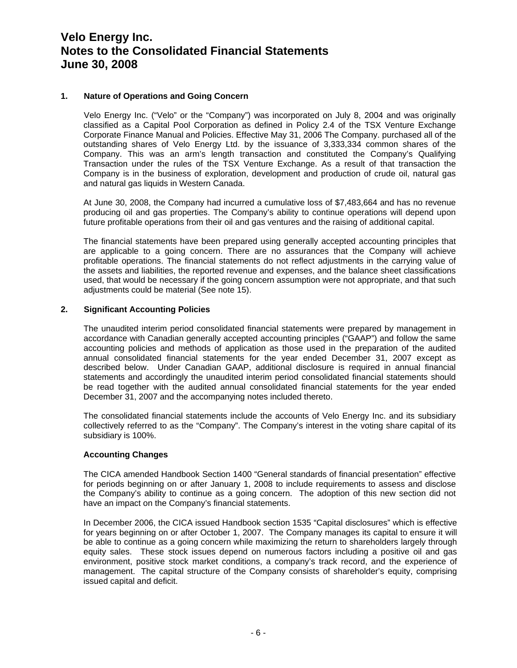# **1. Nature of Operations and Going Concern**

 Velo Energy Inc. ("Velo" or the "Company") was incorporated on July 8, 2004 and was originally classified as a Capital Pool Corporation as defined in Policy 2.4 of the TSX Venture Exchange Corporate Finance Manual and Policies. Effective May 31, 2006 The Company. purchased all of the outstanding shares of Velo Energy Ltd. by the issuance of 3,333,334 common shares of the Company. This was an arm's length transaction and constituted the Company's Qualifying Transaction under the rules of the TSX Venture Exchange. As a result of that transaction the Company is in the business of exploration, development and production of crude oil, natural gas and natural gas liquids in Western Canada.

At June 30, 2008, the Company had incurred a cumulative loss of \$7,483,664 and has no revenue producing oil and gas properties. The Company's ability to continue operations will depend upon future profitable operations from their oil and gas ventures and the raising of additional capital.

The financial statements have been prepared using generally accepted accounting principles that are applicable to a going concern. There are no assurances that the Company will achieve profitable operations. The financial statements do not reflect adjustments in the carrying value of the assets and liabilities, the reported revenue and expenses, and the balance sheet classifications used, that would be necessary if the going concern assumption were not appropriate, and that such adjustments could be material (See note 15).

# **2. Significant Accounting Policies**

The unaudited interim period consolidated financial statements were prepared by management in accordance with Canadian generally accepted accounting principles ("GAAP") and follow the same accounting policies and methods of application as those used in the preparation of the audited annual consolidated financial statements for the year ended December 31, 2007 except as described below. Under Canadian GAAP, additional disclosure is required in annual financial statements and accordingly the unaudited interim period consolidated financial statements should be read together with the audited annual consolidated financial statements for the year ended December 31, 2007 and the accompanying notes included thereto.

The consolidated financial statements include the accounts of Velo Energy Inc. and its subsidiary collectively referred to as the "Company". The Company's interest in the voting share capital of its subsidiary is 100%.

# **Accounting Changes**

The CICA amended Handbook Section 1400 "General standards of financial presentation" effective for periods beginning on or after January 1, 2008 to include requirements to assess and disclose the Company's ability to continue as a going concern. The adoption of this new section did not have an impact on the Company's financial statements.

In December 2006, the CICA issued Handbook section 1535 "Capital disclosures" which is effective for years beginning on or after October 1, 2007. The Company manages its capital to ensure it will be able to continue as a going concern while maximizing the return to shareholders largely through equity sales. These stock issues depend on numerous factors including a positive oil and gas environment, positive stock market conditions, a company's track record, and the experience of management. The capital structure of the Company consists of shareholder's equity, comprising issued capital and deficit.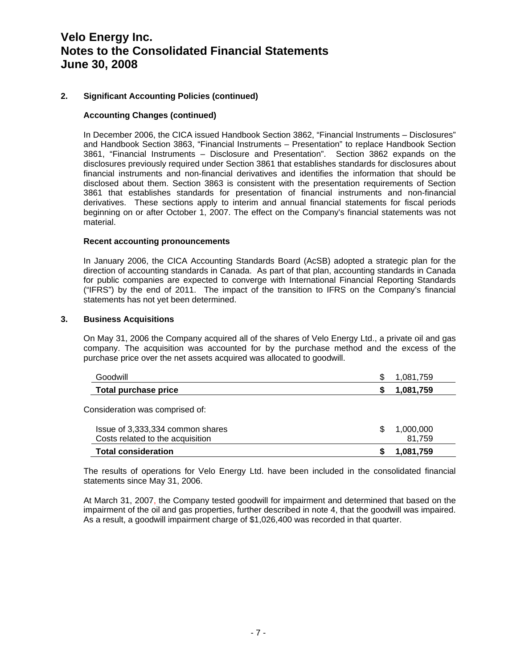# **2. Significant Accounting Policies (continued)**

#### **Accounting Changes (continued)**

In December 2006, the CICA issued Handbook Section 3862, "Financial Instruments – Disclosures" and Handbook Section 3863, "Financial Instruments – Presentation" to replace Handbook Section 3861, "Financial Instruments – Disclosure and Presentation". Section 3862 expands on the disclosures previously required under Section 3861 that establishes standards for disclosures about financial instruments and non-financial derivatives and identifies the information that should be disclosed about them. Section 3863 is consistent with the presentation requirements of Section 3861 that establishes standards for presentation of financial instruments and non-financial derivatives. These sections apply to interim and annual financial statements for fiscal periods beginning on or after October 1, 2007. The effect on the Company's financial statements was not material.

#### **Recent accounting pronouncements**

In January 2006, the CICA Accounting Standards Board (AcSB) adopted a strategic plan for the direction of accounting standards in Canada. As part of that plan, accounting standards in Canada for public companies are expected to converge with International Financial Reporting Standards ("IFRS") by the end of 2011. The impact of the transition to IFRS on the Company's financial statements has not yet been determined.

#### **3. Business Acquisitions**

On May 31, 2006 the Company acquired all of the shares of Velo Energy Ltd., a private oil and gas company. The acquisition was accounted for by the purchase method and the excess of the purchase price over the net assets acquired was allocated to goodwill.

| Goodwill                         | \$ | 1,081,759 |
|----------------------------------|----|-----------|
| <b>Total purchase price</b>      |    | 1,081,759 |
| Consideration was comprised of:  |    |           |
| Issue of 3,333,334 common shares | S  | 1,000,000 |
| Costs related to the acquisition |    | 81.759    |
| <b>Total consideration</b>       |    | 1,081,759 |

The results of operations for Velo Energy Ltd. have been included in the consolidated financial statements since May 31, 2006.

At March 31, 2007, the Company tested goodwill for impairment and determined that based on the impairment of the oil and gas properties, further described in note 4, that the goodwill was impaired. As a result, a goodwill impairment charge of \$1,026,400 was recorded in that quarter.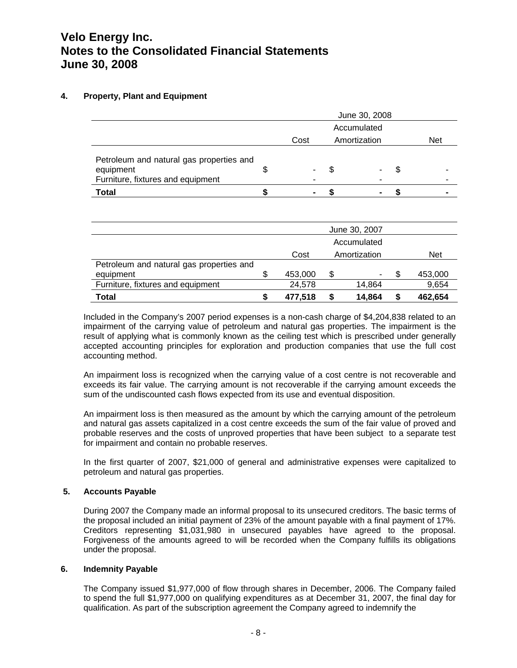# **4. Property, Plant and Equipment**

|                                                                                            | June 30, 2008 |   |              |    |            |
|--------------------------------------------------------------------------------------------|---------------|---|--------------|----|------------|
|                                                                                            | Accumulated   |   |              |    |            |
|                                                                                            | Cost          |   | Amortization |    | <b>Net</b> |
| Petroleum and natural gas properties and<br>equipment<br>Furniture, fixtures and equipment | -             | S | -            | \$ |            |
| <b>Total</b>                                                                               |               |   |              |    |            |

|                                          |             |   | June 30, 2007 |  |            |
|------------------------------------------|-------------|---|---------------|--|------------|
|                                          | Accumulated |   |               |  |            |
|                                          | Cost        |   | Amortization  |  | <b>Net</b> |
| Petroleum and natural gas properties and |             |   |               |  |            |
| equipment                                | 453,000     | S | -             |  | 453,000    |
| Furniture, fixtures and equipment        | 24,578      |   | 14,864        |  | 9,654      |
| <b>Total</b>                             | 477.518     |   | 14.864        |  | 462,654    |

 Included in the Company's 2007 period expenses is a non-cash charge of \$4,204,838 related to an impairment of the carrying value of petroleum and natural gas properties. The impairment is the result of applying what is commonly known as the ceiling test which is prescribed under generally accepted accounting principles for exploration and production companies that use the full cost accounting method.

An impairment loss is recognized when the carrying value of a cost centre is not recoverable and exceeds its fair value. The carrying amount is not recoverable if the carrying amount exceeds the sum of the undiscounted cash flows expected from its use and eventual disposition.

An impairment loss is then measured as the amount by which the carrying amount of the petroleum and natural gas assets capitalized in a cost centre exceeds the sum of the fair value of proved and probable reserves and the costs of unproved properties that have been subject to a separate test for impairment and contain no probable reserves.

In the first quarter of 2007, \$21,000 of general and administrative expenses were capitalized to petroleum and natural gas properties.

# **5. Accounts Payable**

During 2007 the Company made an informal proposal to its unsecured creditors. The basic terms of the proposal included an initial payment of 23% of the amount payable with a final payment of 17%. Creditors representing \$1,031,980 in unsecured payables have agreed to the proposal. Forgiveness of the amounts agreed to will be recorded when the Company fulfills its obligations under the proposal.

#### **6. Indemnity Payable**

The Company issued \$1,977,000 of flow through shares in December, 2006. The Company failed to spend the full \$1,977,000 on qualifying expenditures as at December 31, 2007, the final day for qualification. As part of the subscription agreement the Company agreed to indemnify the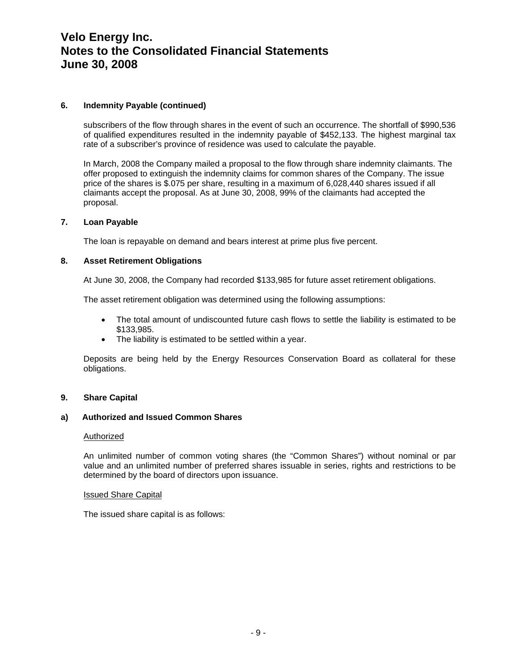#### **6. Indemnity Payable (continued)**

subscribers of the flow through shares in the event of such an occurrence. The shortfall of \$990,536 of qualified expenditures resulted in the indemnity payable of \$452,133. The highest marginal tax rate of a subscriber's province of residence was used to calculate the payable.

In March, 2008 the Company mailed a proposal to the flow through share indemnity claimants. The offer proposed to extinguish the indemnity claims for common shares of the Company. The issue price of the shares is \$.075 per share, resulting in a maximum of 6,028,440 shares issued if all claimants accept the proposal. As at June 30, 2008, 99% of the claimants had accepted the proposal.

# **7. Loan Payable**

The loan is repayable on demand and bears interest at prime plus five percent.

# **8. Asset Retirement Obligations**

At June 30, 2008, the Company had recorded \$133,985 for future asset retirement obligations.

The asset retirement obligation was determined using the following assumptions:

- The total amount of undiscounted future cash flows to settle the liability is estimated to be \$133,985.
- The liability is estimated to be settled within a year.

Deposits are being held by the Energy Resources Conservation Board as collateral for these obligations.

#### **9. Share Capital**

# **a) Authorized and Issued Common Shares**

#### Authorized

An unlimited number of common voting shares (the "Common Shares") without nominal or par value and an unlimited number of preferred shares issuable in series, rights and restrictions to be determined by the board of directors upon issuance.

#### Issued Share Capital

The issued share capital is as follows: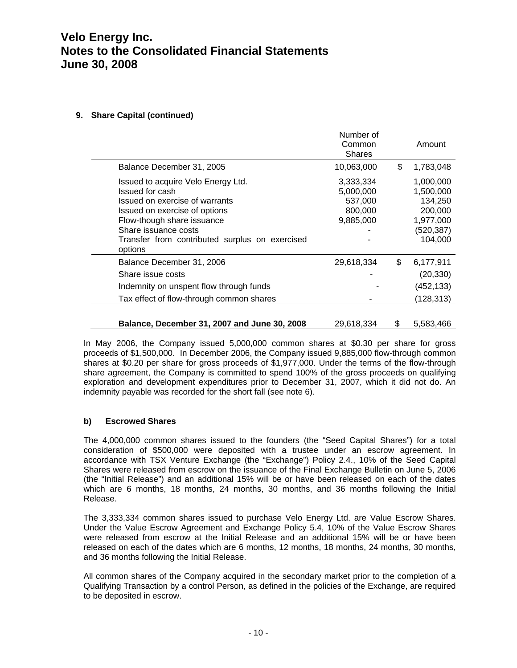# **9. Share Capital (continued)**

|                                                                                                                                                                                                                                             | Number of<br>Common<br><b>Shares</b>                      | Amount                                                                             |
|---------------------------------------------------------------------------------------------------------------------------------------------------------------------------------------------------------------------------------------------|-----------------------------------------------------------|------------------------------------------------------------------------------------|
| Balance December 31, 2005                                                                                                                                                                                                                   | 10,063,000                                                | \$<br>1,783,048                                                                    |
| Issued to acquire Velo Energy Ltd.<br>Issued for cash<br>Issued on exercise of warrants<br>Issued on exercise of options<br>Flow-though share issuance<br>Share issuance costs<br>Transfer from contributed surplus on exercised<br>options | 3,333,334<br>5,000,000<br>537,000<br>800,000<br>9,885,000 | 1,000,000<br>1,500,000<br>134,250<br>200,000<br>1,977,000<br>(520, 387)<br>104,000 |
| Balance December 31, 2006                                                                                                                                                                                                                   | 29,618,334                                                | \$<br>6,177,911                                                                    |
| Share issue costs                                                                                                                                                                                                                           |                                                           | (20, 330)                                                                          |
| Indemnity on unspent flow through funds                                                                                                                                                                                                     |                                                           | (452, 133)                                                                         |
| Tax effect of flow-through common shares                                                                                                                                                                                                    |                                                           | (128, 313)                                                                         |
| Balance, December 31, 2007 and June 30, 2008                                                                                                                                                                                                | 29,618,334                                                | \$<br>5,583,466                                                                    |

In May 2006, the Company issued 5,000,000 common shares at \$0.30 per share for gross proceeds of \$1,500,000. In December 2006, the Company issued 9,885,000 flow-through common shares at \$0.20 per share for gross proceeds of \$1,977,000. Under the terms of the flow-through share agreement, the Company is committed to spend 100% of the gross proceeds on qualifying exploration and development expenditures prior to December 31, 2007, which it did not do. An indemnity payable was recorded for the short fall (see note 6).

# **b) Escrowed Shares**

The 4,000,000 common shares issued to the founders (the "Seed Capital Shares") for a total consideration of \$500,000 were deposited with a trustee under an escrow agreement. In accordance with TSX Venture Exchange (the "Exchange") Policy 2.4., 10% of the Seed Capital Shares were released from escrow on the issuance of the Final Exchange Bulletin on June 5, 2006 (the "Initial Release") and an additional 15% will be or have been released on each of the dates which are 6 months, 18 months, 24 months, 30 months, and 36 months following the Initial Release.

The 3,333,334 common shares issued to purchase Velo Energy Ltd. are Value Escrow Shares. Under the Value Escrow Agreement and Exchange Policy 5.4, 10% of the Value Escrow Shares were released from escrow at the Initial Release and an additional 15% will be or have been released on each of the dates which are 6 months, 12 months, 18 months, 24 months, 30 months, and 36 months following the Initial Release.

All common shares of the Company acquired in the secondary market prior to the completion of a Qualifying Transaction by a control Person, as defined in the policies of the Exchange, are required to be deposited in escrow.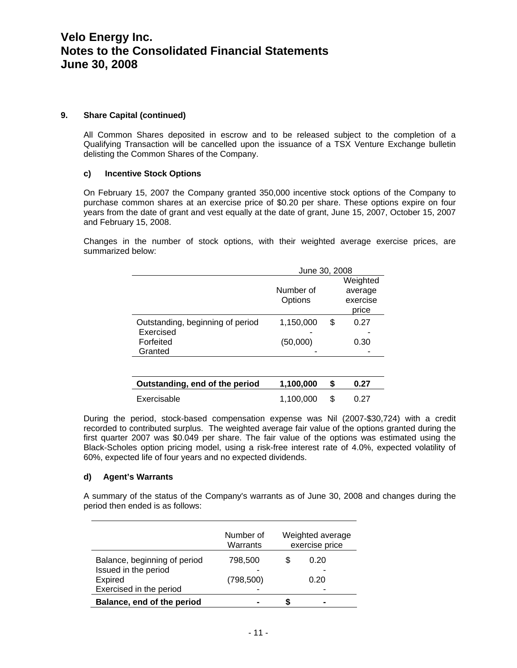#### **9. Share Capital (continued)**

All Common Shares deposited in escrow and to be released subject to the completion of a Qualifying Transaction will be cancelled upon the issuance of a TSX Venture Exchange bulletin delisting the Common Shares of the Company.

# **c) Incentive Stock Options**

On February 15, 2007 the Company granted 350,000 incentive stock options of the Company to purchase common shares at an exercise price of \$0.20 per share. These options expire on four years from the date of grant and vest equally at the date of grant, June 15, 2007, October 15, 2007 and February 15, 2008.

Changes in the number of stock options, with their weighted average exercise prices, are summarized below:

|                                                                       | June 30, 2008         |    |                                          |  |
|-----------------------------------------------------------------------|-----------------------|----|------------------------------------------|--|
|                                                                       | Number of<br>Options  |    | Weighted<br>average<br>exercise<br>price |  |
| Outstanding, beginning of period<br>Exercised<br>Forfeited<br>Granted | 1,150,000<br>(50,000) | S  | 0.27<br>0.30                             |  |
| Outstanding, end of the period                                        | 1,100,000             | \$ | 0.27                                     |  |
| Exercisable                                                           | 1,100,000             | \$ | በ 27                                     |  |

During the period, stock-based compensation expense was Nil (2007-\$30,724) with a credit recorded to contributed surplus. The weighted average fair value of the options granted during the first quarter 2007 was \$0.049 per share. The fair value of the options was estimated using the Black-Scholes option pricing model, using a risk-free interest rate of 4.0%, expected volatility of 60%, expected life of four years and no expected dividends.

#### **d) Agent's Warrants**

A summary of the status of the Company's warrants as of June 30, 2008 and changes during the period then ended is as follows:

|                                                                                            | Number of<br>Warrants | Weighted average<br>exercise price |
|--------------------------------------------------------------------------------------------|-----------------------|------------------------------------|
| Balance, beginning of period<br>Issued in the period<br>Expired<br>Exercised in the period | 798,500<br>(798, 500) | 0.20<br>0.20                       |
| Balance, end of the period                                                                 |                       |                                    |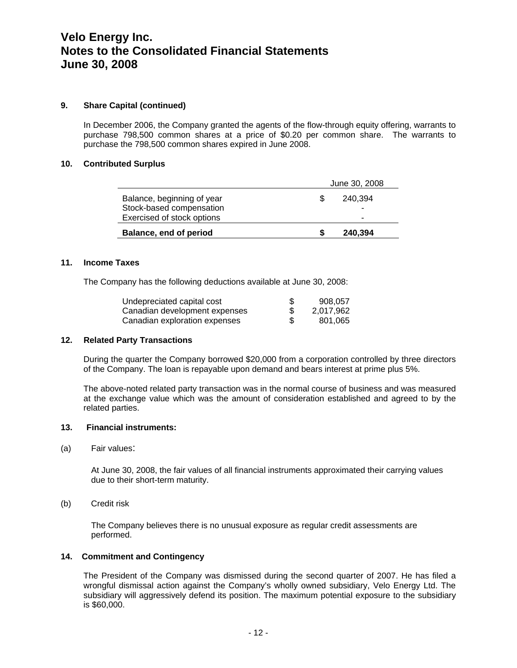# **9. Share Capital (continued)**

In December 2006, the Company granted the agents of the flow-through equity offering, warrants to purchase 798,500 common shares at a price of \$0.20 per common share. The warrants to purchase the 798,500 common shares expired in June 2008.

# **10. Contributed Surplus**

| Balance, end of period     | 240,394       |  |
|----------------------------|---------------|--|
| Exercised of stock options | -             |  |
| Stock-based compensation   |               |  |
| Balance, beginning of year | 240.394       |  |
|                            | June 30, 2008 |  |

#### **11. Income Taxes**

The Company has the following deductions available at June 30, 2008:

| Undepreciated capital cost    | -S  | 908.057   |
|-------------------------------|-----|-----------|
| Canadian development expenses |     | 2.017.962 |
| Canadian exploration expenses | \$. | 801.065   |

# **12. Related Party Transactions**

During the quarter the Company borrowed \$20,000 from a corporation controlled by three directors of the Company. The loan is repayable upon demand and bears interest at prime plus 5%.

The above-noted related party transaction was in the normal course of business and was measured at the exchange value which was the amount of consideration established and agreed to by the related parties.

#### **13. Financial instruments:**

(a) Fair values:

At June 30, 2008, the fair values of all financial instruments approximated their carrying values due to their short-term maturity.

(b) Credit risk

The Company believes there is no unusual exposure as regular credit assessments are performed.

# **14. Commitment and Contingency**

The President of the Company was dismissed during the second quarter of 2007. He has filed a wrongful dismissal action against the Company's wholly owned subsidiary, Velo Energy Ltd. The subsidiary will aggressively defend its position. The maximum potential exposure to the subsidiary is \$60,000.